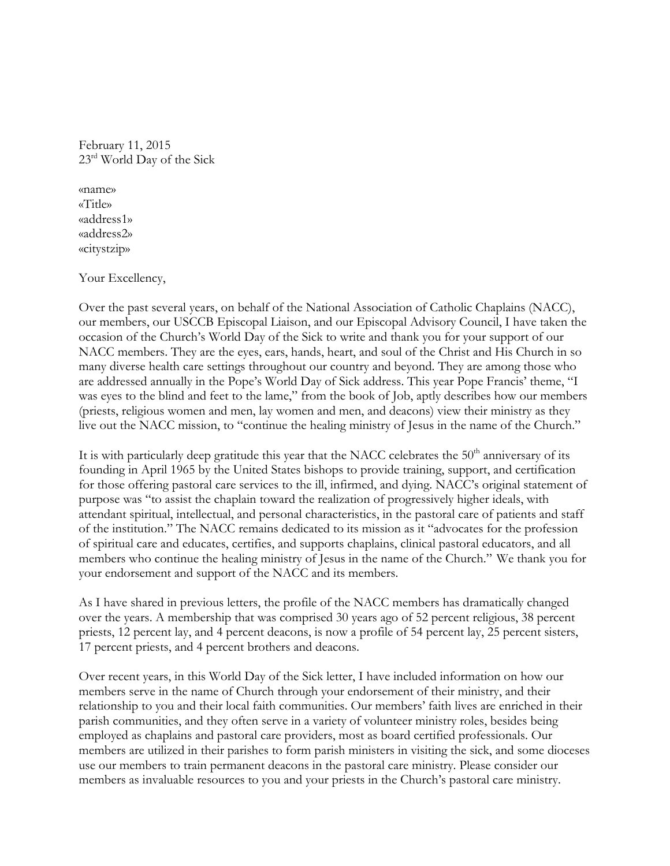February 11, 2015 23<sup>rd</sup> World Day of the Sick

«name» «Title» «address1» «address2» «citystzip»

Your Excellency,

Over the past several years, on behalf of the National Association of Catholic Chaplains (NACC), our members, our USCCB Episcopal Liaison, and our Episcopal Advisory Council, I have taken the occasion of the Church's World Day of the Sick to write and thank you for your support of our NACC members. They are the eyes, ears, hands, heart, and soul of the Christ and His Church in so many diverse health care settings throughout our country and beyond. They are among those who are addressed annually in the Pope's World Day of Sick address. This year Pope Francis' theme, "I was eyes to the blind and feet to the lame," from the book of Job, aptly describes how our members (priests, religious women and men, lay women and men, and deacons) view their ministry as they live out the NACC mission, to "continue the healing ministry of Jesus in the name of the Church."

It is with particularly deep gratitude this year that the NACC celebrates the  $50<sup>th</sup>$  anniversary of its founding in April 1965 by the United States bishops to provide training, support, and certification for those offering pastoral care services to the ill, infirmed, and dying. NACC's original statement of purpose was "to assist the chaplain toward the realization of progressively higher ideals, with attendant spiritual, intellectual, and personal characteristics, in the pastoral care of patients and staff of the institution." The NACC remains dedicated to its mission as it "advocates for the profession of spiritual care and educates, certifies, and supports chaplains, clinical pastoral educators, and all members who continue the healing ministry of Jesus in the name of the Church." We thank you for your endorsement and support of the NACC and its members.

As I have shared in previous letters, the profile of the NACC members has dramatically changed over the years. A membership that was comprised 30 years ago of 52 percent religious, 38 percent priests, 12 percent lay, and 4 percent deacons, is now a profile of 54 percent lay, 25 percent sisters, 17 percent priests, and 4 percent brothers and deacons.

Over recent years, in this World Day of the Sick letter, I have included information on how our members serve in the name of Church through your endorsement of their ministry, and their relationship to you and their local faith communities. Our members' faith lives are enriched in their parish communities, and they often serve in a variety of volunteer ministry roles, besides being employed as chaplains and pastoral care providers, most as board certified professionals. Our members are utilized in their parishes to form parish ministers in visiting the sick, and some dioceses use our members to train permanent deacons in the pastoral care ministry. Please consider our members as invaluable resources to you and your priests in the Church's pastoral care ministry.